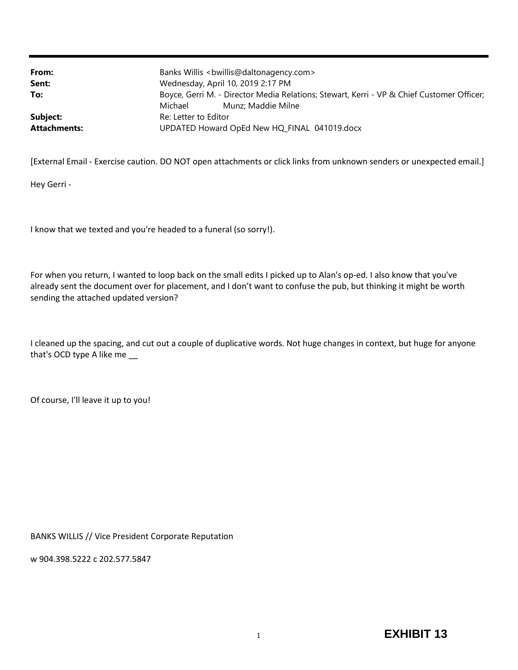| From:               | Banks Willis<br>bwillis@daltonagency.com>                                                 |
|---------------------|-------------------------------------------------------------------------------------------|
| Sent:               | Wednesday, April 10, 2019 2:17 PM                                                         |
| To:                 | Boyce, Gerri M. - Director Media Relations; Stewart, Kerri - VP & Chief Customer Officer; |
|                     | Munz: Maddie Milne<br>Michael                                                             |
| Subject:            | Re: Letter to Editor                                                                      |
| <b>Attachments:</b> | UPDATED Howard OpEd New HQ_FINAL 041019.docx                                              |

[External Email - Exercise caution. DO NOT open attachments or click links from unknown senders or unexpected email.]

Hey Gerri -

I know that we texted and you're headed to a funeral (so sorry!).

For when you return, I wanted to loop back on the small edits I picked up to Alan's op-ed. I also know that you've already sent the document over for placement, and I don't want to confuse the pub, but thinking it might be worth sending the attached updated version?

I cleaned up the spacing, and cut out a couple of duplicative words. Not huge changes in context, but huge for anyone that's OCD type A like me \_\_

Of course, I'll leave it up to you!

BANKS WILLIS // Vice President Corporate Reputation

w 904.398.5222 c 202.577.5847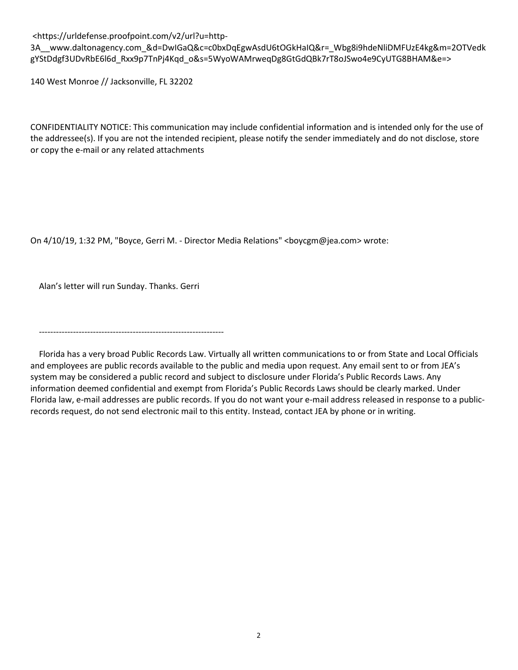<https://urldefense.proofpoint.com/v2/url?u=http-

3A\_\_www.daltonagency.com\_&d=DwIGaQ&c=c0bxDqEgwAsdU6tOGkHaIQ&r=\_Wbg8i9hdeNliDMFUzE4kg&m=2OTVedk gYStDdgf3UDvRbE6l6d\_Rxx9p7TnPj4Kqd\_o&s=5WyoWAMrweqDg8GtGdQBk7rT8oJSwo4e9CyUTG8BHAM&e=>

140 West Monroe // Jacksonville, FL 32202

CONFIDENTIALITY NOTICE: This communication may include confidential information and is intended only for the use of the addressee(s). If you are not the intended recipient, please notify the sender immediately and do not disclose, store or copy the e-mail or any related attachments

On 4/10/19, 1:32 PM, "Boyce, Gerri M. - Director Media Relations" <br/>boycgm@jea.com> wrote:

Alan's letter will run Sunday. Thanks. Gerri

-----------------------------------------------------------------

Florida has a very broad Public Records Law. Virtually all written communications to or from State and Local Officials and employees are public records available to the public and media upon request. Any email sent to or from JEA's system may be considered a public record and subject to disclosure under Florida's Public Records Laws. Any information deemed confidential and exempt from Florida's Public Records Laws should be clearly marked. Under Florida law, e-mail addresses are public records. If you do not want your e-mail address released in response to a publicrecords request, do not send electronic mail to this entity. Instead, contact JEA by phone or in writing.